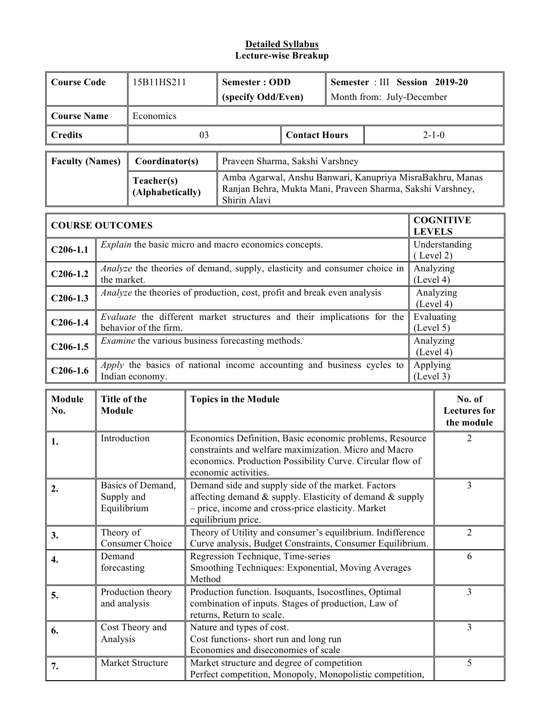| <b>Course Code</b>     |                                                       | 15B11HS211                                                                                                                                                                                                                                         | <b>Semester: ODD</b><br>(specify Odd/Even)                                                                                                                                                            |                                                                                                                                           |                      | Semester : III Session 2019-20<br>Month from: July-December |   |                        |                  |
|------------------------|-------------------------------------------------------|----------------------------------------------------------------------------------------------------------------------------------------------------------------------------------------------------------------------------------------------------|-------------------------------------------------------------------------------------------------------------------------------------------------------------------------------------------------------|-------------------------------------------------------------------------------------------------------------------------------------------|----------------------|-------------------------------------------------------------|---|------------------------|------------------|
| <b>Course Name</b>     |                                                       | Economics                                                                                                                                                                                                                                          |                                                                                                                                                                                                       |                                                                                                                                           |                      |                                                             |   |                        |                  |
| <b>Credits</b>         |                                                       |                                                                                                                                                                                                                                                    | 03                                                                                                                                                                                                    |                                                                                                                                           | <b>Contact Hours</b> |                                                             |   | $2 - 1 - 0$            |                  |
| <b>Faculty (Names)</b> |                                                       | Coordinator(s)                                                                                                                                                                                                                                     |                                                                                                                                                                                                       | Praveen Sharma, Sakshi Varshney                                                                                                           |                      |                                                             |   |                        |                  |
|                        |                                                       | Teacher(s)<br>(Alphabetically)                                                                                                                                                                                                                     |                                                                                                                                                                                                       | Amba Agarwal, Anshu Banwari, Kanupriya MisraBakhru, Manas<br>Ranjan Behra, Mukta Mani, Praveen Sharma, Sakshi Varshney,<br>Shirin Alavi   |                      |                                                             |   |                        |                  |
| <b>COURSE OUTCOMES</b> |                                                       |                                                                                                                                                                                                                                                    |                                                                                                                                                                                                       |                                                                                                                                           |                      |                                                             |   | <b>LEVELS</b>          | <b>COGNITIVE</b> |
| $C206-1.1$             |                                                       |                                                                                                                                                                                                                                                    |                                                                                                                                                                                                       | <i>Explain</i> the basic micro and macro economics concepts.                                                                              |                      |                                                             |   | (Level 2)              | Understanding    |
| $C206-1.2$             | the market.                                           |                                                                                                                                                                                                                                                    |                                                                                                                                                                                                       | <i>Analyze</i> the theories of demand, supply, elasticity and consumer choice in                                                          |                      |                                                             |   | Analyzing<br>(Level 4) |                  |
| $C206-1.3$             |                                                       |                                                                                                                                                                                                                                                    |                                                                                                                                                                                                       | Analyze the theories of production, cost, profit and break even analysis                                                                  |                      |                                                             |   | (Level 4)              | Analyzing        |
| $C206-1.4$             |                                                       | behavior of the firm.                                                                                                                                                                                                                              |                                                                                                                                                                                                       | Evaluate the different market structures and their implications for the                                                                   |                      |                                                             |   | (Level 5)              | Evaluating       |
| $C206-1.5$             |                                                       |                                                                                                                                                                                                                                                    |                                                                                                                                                                                                       | Examine the various business forecasting methods.                                                                                         |                      |                                                             |   | Analyzing<br>(Level 4) |                  |
| $C206-1.6$             |                                                       | Indian economy.                                                                                                                                                                                                                                    |                                                                                                                                                                                                       | Apply the basics of national income accounting and business cycles to                                                                     |                      |                                                             |   | Applying<br>(Level 3)  |                  |
| <b>Module</b><br>No.   | Title of the<br><b>Topics in the Module</b><br>Module |                                                                                                                                                                                                                                                    |                                                                                                                                                                                                       |                                                                                                                                           |                      | No. of<br><b>Lectures</b> for<br>the module                 |   |                        |                  |
| 1.                     | Introduction                                          |                                                                                                                                                                                                                                                    | Economics Definition, Basic economic problems, Resource<br>constraints and welfare maximization. Micro and Macro<br>economics. Production Possibility Curve. Circular flow of<br>economic activities. |                                                                                                                                           |                      |                                                             |   | $\overline{2}$         |                  |
| 2.                     |                                                       | Basics of Demand,<br>Demand side and supply side of the market. Factors<br>affecting demand $\&$ supply. Elasticity of demand $\&$ supply<br>Supply and<br>- price, income and cross-price elasticity. Market<br>Equilibrium<br>equilibrium price. |                                                                                                                                                                                                       |                                                                                                                                           |                      |                                                             |   | $\overline{3}$         |                  |
| 3.                     | Theory of                                             | <b>Consumer Choice</b>                                                                                                                                                                                                                             |                                                                                                                                                                                                       | Theory of Utility and consumer's equilibrium. Indifference<br>Curve analysis, Budget Constraints, Consumer Equilibrium.                   |                      |                                                             |   |                        | $\overline{2}$   |
| 4.                     |                                                       | Regression Technique, Time-series<br>Demand<br>Smoothing Techniques: Exponential, Moving Averages<br>forecasting<br>Method                                                                                                                         |                                                                                                                                                                                                       |                                                                                                                                           |                      |                                                             | 6 |                        |                  |
| 5.                     | and analysis                                          | Production theory                                                                                                                                                                                                                                  |                                                                                                                                                                                                       | Production function. Isoquants, Isocostlines, Optimal<br>combination of inputs. Stages of production, Law of<br>returns, Return to scale. |                      |                                                             |   |                        | $\overline{3}$   |
| 6.                     | Analysis                                              | Cost Theory and                                                                                                                                                                                                                                    |                                                                                                                                                                                                       | Nature and types of cost.<br>Cost functions- short run and long run<br>Economies and diseconomies of scale                                |                      |                                                             |   |                        | $\overline{3}$   |
| 7.                     |                                                       | Market Structure                                                                                                                                                                                                                                   |                                                                                                                                                                                                       | Market structure and degree of competition<br>Perfect competition, Monopoly, Monopolistic competition,                                    |                      |                                                             |   |                        | 5                |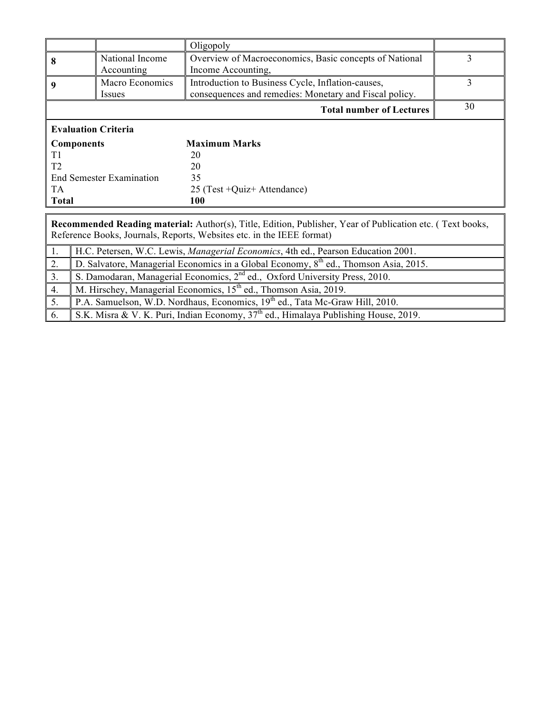|                                                                                                                                                                                           |                                                                                                  | Oligopoly                                                                                                   |    |  |  |  |  |
|-------------------------------------------------------------------------------------------------------------------------------------------------------------------------------------------|--------------------------------------------------------------------------------------------------|-------------------------------------------------------------------------------------------------------------|----|--|--|--|--|
| 8                                                                                                                                                                                         | National Income<br>Accounting                                                                    | Overview of Macroeconomics, Basic concepts of National<br>Income Accounting,                                | 3  |  |  |  |  |
| 9                                                                                                                                                                                         | Macro Economics<br>Issues                                                                        | Introduction to Business Cycle, Inflation-causes,<br>consequences and remedies: Monetary and Fiscal policy. | 3  |  |  |  |  |
|                                                                                                                                                                                           |                                                                                                  | <b>Total number of Lectures</b>                                                                             | 30 |  |  |  |  |
|                                                                                                                                                                                           | <b>Evaluation Criteria</b>                                                                       |                                                                                                             |    |  |  |  |  |
|                                                                                                                                                                                           | <b>Components</b>                                                                                | <b>Maximum Marks</b>                                                                                        |    |  |  |  |  |
| T <sub>1</sub>                                                                                                                                                                            |                                                                                                  | 20                                                                                                          |    |  |  |  |  |
| T <sub>2</sub>                                                                                                                                                                            |                                                                                                  | 20                                                                                                          |    |  |  |  |  |
|                                                                                                                                                                                           | <b>End Semester Examination</b>                                                                  | 35                                                                                                          |    |  |  |  |  |
| <b>TA</b>                                                                                                                                                                                 |                                                                                                  | 25 (Test +Quiz+ Attendance)                                                                                 |    |  |  |  |  |
| <b>Total</b>                                                                                                                                                                              |                                                                                                  | 100                                                                                                         |    |  |  |  |  |
|                                                                                                                                                                                           |                                                                                                  |                                                                                                             |    |  |  |  |  |
| <b>Recommended Reading material:</b> Author(s), Title, Edition, Publisher, Year of Publication etc. (Text books,<br>Reference Books, Journals, Reports, Websites etc. in the IEEE format) |                                                                                                  |                                                                                                             |    |  |  |  |  |
| 1.                                                                                                                                                                                        |                                                                                                  | H.C. Petersen, W.C. Lewis, Managerial Economics, 4th ed., Pearson Education 2001.                           |    |  |  |  |  |
| 2.                                                                                                                                                                                        | D. Salvatore, Managerial Economics in a Global Economy, 8 <sup>th</sup> ed., Thomson Asia, 2015. |                                                                                                             |    |  |  |  |  |

3. S. Damodaran, Managerial Economics, 2<sup>nd</sup> ed., Oxford University Press, 2010.

4. M. Hirschey, Managerial Economics,  $15<sup>th</sup>$  ed., Thomson Asia, 2019.

5. P.A. Samuelson, W.D. Nordhaus, Economics, 19<sup>th</sup> ed., Tata Mc-Graw Hill, 2010.

6. S.K. Misra & V. K. Puri, Indian Economy, 37th ed., Himalaya Publishing House, 2019.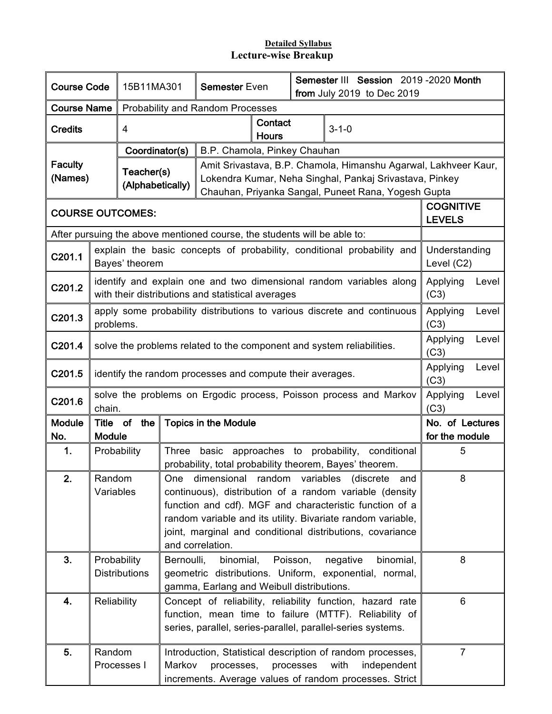| <b>Course Code</b>                                            |                                                                                                                                                                                                            | 15B11MA301                                                                                                                                                                                                                                                                                                                        |        | <b>Semester Even</b>                                                                                                                                                              |                         | Semester III Session 2019-2020 Month<br>from July 2019 to Dec 2019 |                                                                                                                                                                                   |                                   |       |
|---------------------------------------------------------------|------------------------------------------------------------------------------------------------------------------------------------------------------------------------------------------------------------|-----------------------------------------------------------------------------------------------------------------------------------------------------------------------------------------------------------------------------------------------------------------------------------------------------------------------------------|--------|-----------------------------------------------------------------------------------------------------------------------------------------------------------------------------------|-------------------------|--------------------------------------------------------------------|-----------------------------------------------------------------------------------------------------------------------------------------------------------------------------------|-----------------------------------|-------|
| <b>Course Name</b><br><b>Probability and Random Processes</b> |                                                                                                                                                                                                            |                                                                                                                                                                                                                                                                                                                                   |        |                                                                                                                                                                                   |                         |                                                                    |                                                                                                                                                                                   |                                   |       |
| <b>Credits</b>                                                |                                                                                                                                                                                                            | 4                                                                                                                                                                                                                                                                                                                                 |        |                                                                                                                                                                                   | Contact<br><b>Hours</b> |                                                                    | $3 - 1 - 0$                                                                                                                                                                       |                                   |       |
|                                                               |                                                                                                                                                                                                            | Coordinator(s)                                                                                                                                                                                                                                                                                                                    |        | B.P. Chamola, Pinkey Chauhan                                                                                                                                                      |                         |                                                                    |                                                                                                                                                                                   |                                   |       |
| <b>Faculty</b><br>(Names)                                     |                                                                                                                                                                                                            | Teacher(s)<br>(Alphabetically)                                                                                                                                                                                                                                                                                                    |        |                                                                                                                                                                                   |                         |                                                                    | Amit Srivastava, B.P. Chamola, Himanshu Agarwal, Lakhveer Kaur,<br>Lokendra Kumar, Neha Singhal, Pankaj Srivastava, Pinkey<br>Chauhan, Priyanka Sangal, Puneet Rana, Yogesh Gupta |                                   |       |
|                                                               |                                                                                                                                                                                                            | <b>COURSE OUTCOMES:</b>                                                                                                                                                                                                                                                                                                           |        |                                                                                                                                                                                   |                         |                                                                    |                                                                                                                                                                                   | <b>COGNITIVE</b><br><b>LEVELS</b> |       |
|                                                               |                                                                                                                                                                                                            |                                                                                                                                                                                                                                                                                                                                   |        | After pursuing the above mentioned course, the students will be able to:                                                                                                          |                         |                                                                    |                                                                                                                                                                                   |                                   |       |
| C201.1                                                        |                                                                                                                                                                                                            | Bayes' theorem                                                                                                                                                                                                                                                                                                                    |        |                                                                                                                                                                                   |                         |                                                                    | explain the basic concepts of probability, conditional probability and                                                                                                            | Understanding<br>Level (C2)       |       |
| C201.2                                                        |                                                                                                                                                                                                            |                                                                                                                                                                                                                                                                                                                                   |        | with their distributions and statistical averages                                                                                                                                 |                         |                                                                    | identify and explain one and two dimensional random variables along                                                                                                               | Applying<br>(C3)                  | Level |
| C201.3                                                        | problems.                                                                                                                                                                                                  |                                                                                                                                                                                                                                                                                                                                   |        |                                                                                                                                                                                   |                         |                                                                    | apply some probability distributions to various discrete and continuous                                                                                                           | Applying<br>(C3)                  | Level |
| C201.4                                                        |                                                                                                                                                                                                            |                                                                                                                                                                                                                                                                                                                                   |        |                                                                                                                                                                                   |                         |                                                                    | solve the problems related to the component and system reliabilities.                                                                                                             | Applying<br>(C3)                  | Level |
| C201.5                                                        |                                                                                                                                                                                                            | identify the random processes and compute their averages.                                                                                                                                                                                                                                                                         |        |                                                                                                                                                                                   |                         |                                                                    |                                                                                                                                                                                   |                                   | Level |
| C201.6                                                        | chain.                                                                                                                                                                                                     |                                                                                                                                                                                                                                                                                                                                   |        |                                                                                                                                                                                   |                         |                                                                    | solve the problems on Ergodic process, Poisson process and Markov                                                                                                                 | Applying<br>(C3)                  | Level |
| <b>Module</b><br>No.                                          | <b>Module</b>                                                                                                                                                                                              | Title of the                                                                                                                                                                                                                                                                                                                      |        | <b>Topics in the Module</b>                                                                                                                                                       |                         |                                                                    |                                                                                                                                                                                   | No. of Lectures<br>for the module |       |
| 1.                                                            |                                                                                                                                                                                                            | Probability                                                                                                                                                                                                                                                                                                                       |        |                                                                                                                                                                                   |                         |                                                                    | Three basic approaches to probability, conditional<br>probability, total probability theorem, Bayes' theorem.                                                                     | 5                                 |       |
| 2.                                                            | Random                                                                                                                                                                                                     | One dimensional random variables (discrete and<br>Variables<br>continuous), distribution of a random variable (density<br>function and cdf). MGF and characteristic function of a<br>random variable and its utility. Bivariate random variable,<br>joint, marginal and conditional distributions, covariance<br>and correlation. |        |                                                                                                                                                                                   |                         |                                                                    | 8                                                                                                                                                                                 |                                   |       |
| 3.                                                            | Bernoulli,<br>binomial,<br>Poisson,<br>binomial,<br>Probability<br>negative<br><b>Distributions</b><br>geometric distributions. Uniform, exponential, normal,<br>gamma, Earlang and Weibull distributions. |                                                                                                                                                                                                                                                                                                                                   |        |                                                                                                                                                                                   |                         |                                                                    | 8                                                                                                                                                                                 |                                   |       |
| 4.                                                            | Reliability                                                                                                                                                                                                |                                                                                                                                                                                                                                                                                                                                   |        | Concept of reliability, reliability function, hazard rate<br>function, mean time to failure (MTTF). Reliability of<br>series, parallel, series-parallel, parallel-series systems. |                         |                                                                    |                                                                                                                                                                                   | 6                                 |       |
| 5.                                                            | Random                                                                                                                                                                                                     | Processes I                                                                                                                                                                                                                                                                                                                       | Markov | processes,                                                                                                                                                                        |                         | processes                                                          | Introduction, Statistical description of random processes,<br>with<br>independent<br>increments. Average values of random processes. Strict                                       | $\overline{7}$                    |       |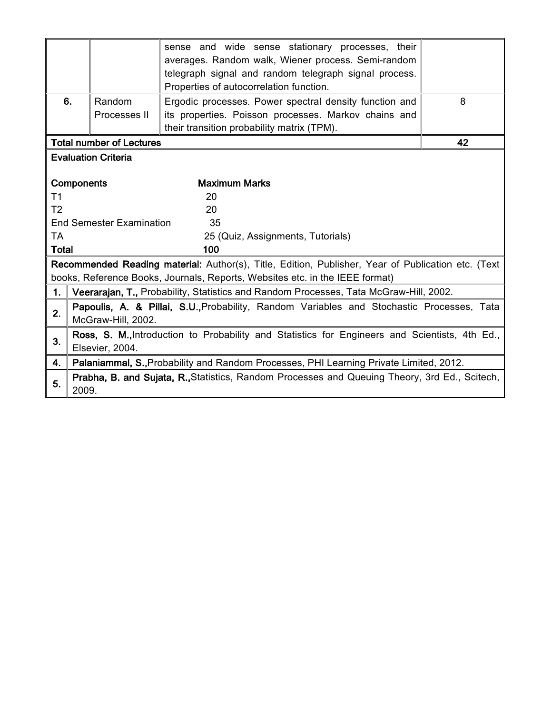|                                                                                                |                                 | sense and wide sense stationary processes, their<br>averages. Random walk, Wiener process. Semi-random<br>telegraph signal and random telegraph signal process.<br>Properties of autocorrelation function. |    |  |  |  |  |
|------------------------------------------------------------------------------------------------|---------------------------------|------------------------------------------------------------------------------------------------------------------------------------------------------------------------------------------------------------|----|--|--|--|--|
| 6.                                                                                             | Random                          | 8                                                                                                                                                                                                          |    |  |  |  |  |
|                                                                                                | Processes II                    | its properties. Poisson processes. Markov chains and                                                                                                                                                       |    |  |  |  |  |
|                                                                                                |                                 | their transition probability matrix (TPM).                                                                                                                                                                 |    |  |  |  |  |
|                                                                                                | <b>Total number of Lectures</b> |                                                                                                                                                                                                            | 42 |  |  |  |  |
|                                                                                                | <b>Evaluation Criteria</b>      |                                                                                                                                                                                                            |    |  |  |  |  |
|                                                                                                |                                 |                                                                                                                                                                                                            |    |  |  |  |  |
|                                                                                                | <b>Components</b>               | <b>Maximum Marks</b>                                                                                                                                                                                       |    |  |  |  |  |
| T <sub>1</sub>                                                                                 |                                 | 20                                                                                                                                                                                                         |    |  |  |  |  |
| T <sub>2</sub>                                                                                 |                                 | 20                                                                                                                                                                                                         |    |  |  |  |  |
|                                                                                                | <b>End Semester Examination</b> | 35                                                                                                                                                                                                         |    |  |  |  |  |
| <b>TA</b>                                                                                      |                                 | 25 (Quiz, Assignments, Tutorials)                                                                                                                                                                          |    |  |  |  |  |
| <b>Total</b>                                                                                   |                                 | 100                                                                                                                                                                                                        |    |  |  |  |  |
|                                                                                                |                                 | Recommended Reading material: Author(s), Title, Edition, Publisher, Year of Publication etc. (Text                                                                                                         |    |  |  |  |  |
|                                                                                                |                                 | books, Reference Books, Journals, Reports, Websites etc. in the IEEE format)                                                                                                                               |    |  |  |  |  |
| 1.                                                                                             |                                 | Veerarajan, T., Probability, Statistics and Random Processes, Tata McGraw-Hill, 2002.                                                                                                                      |    |  |  |  |  |
|                                                                                                |                                 | Papoulis, A. & Pillai, S.U., Probability, Random Variables and Stochastic Processes, Tata                                                                                                                  |    |  |  |  |  |
| 2.                                                                                             | McGraw-Hill, 2002.              |                                                                                                                                                                                                            |    |  |  |  |  |
| Ross, S. M., Introduction to Probability and Statistics for Engineers and Scientists, 4th Ed., |                                 |                                                                                                                                                                                                            |    |  |  |  |  |
| 3.                                                                                             | Elsevier, 2004.                 |                                                                                                                                                                                                            |    |  |  |  |  |
| 4.                                                                                             |                                 | Palaniammal, S., Probability and Random Processes, PHI Learning Private Limited, 2012.                                                                                                                     |    |  |  |  |  |
| 5.                                                                                             | 2009.                           | Prabha, B. and Sujata, R., Statistics, Random Processes and Queuing Theory, 3rd Ed., Scitech,                                                                                                              |    |  |  |  |  |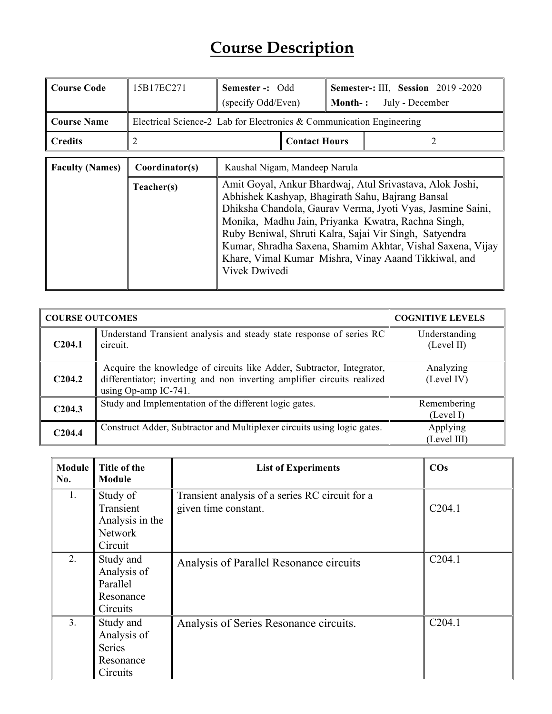# **Course Description**

| <b>Course Code</b>     | 15B17EC271                                                           | Semester -: Odd<br>(specify Odd/Even)                                                                                                                                                                                                                                                                                                                                                                                             |                      | <b>Month-:</b> | <b>Semester-: III, Session 2019-2020</b><br>July - December |  |
|------------------------|----------------------------------------------------------------------|-----------------------------------------------------------------------------------------------------------------------------------------------------------------------------------------------------------------------------------------------------------------------------------------------------------------------------------------------------------------------------------------------------------------------------------|----------------------|----------------|-------------------------------------------------------------|--|
| <b>Course Name</b>     | Electrical Science-2 Lab for Electronics & Communication Engineering |                                                                                                                                                                                                                                                                                                                                                                                                                                   |                      |                |                                                             |  |
| <b>Credits</b>         | 2                                                                    |                                                                                                                                                                                                                                                                                                                                                                                                                                   | <b>Contact Hours</b> |                |                                                             |  |
| <b>Faculty (Names)</b> | Coordinator(s)                                                       | Kaushal Nigam, Mandeep Narula                                                                                                                                                                                                                                                                                                                                                                                                     |                      |                |                                                             |  |
|                        | Teacher(s)                                                           | Amit Goyal, Ankur Bhardwaj, Atul Srivastava, Alok Joshi,<br>Abhishek Kashyap, Bhagirath Sahu, Bajrang Bansal<br>Dhiksha Chandola, Gaurav Verma, Jyoti Vyas, Jasmine Saini,<br>Monika, Madhu Jain, Priyanka Kwatra, Rachna Singh,<br>Ruby Beniwal, Shruti Kalra, Sajai Vir Singh, Satyendra<br>Kumar, Shradha Saxena, Shamim Akhtar, Vishal Saxena, Vijay<br>Khare, Vimal Kumar Mishra, Vinay Aaand Tikkiwal, and<br>Vivek Dwivedi |                      |                |                                                             |  |

|                    | <b>COURSE OUTCOMES</b>                                                                                                                                                   |                             |  |  |  |
|--------------------|--------------------------------------------------------------------------------------------------------------------------------------------------------------------------|-----------------------------|--|--|--|
| C <sub>204.1</sub> | Understand Transient analysis and steady state response of series RC<br>circuit.                                                                                         | Understanding<br>(Level II) |  |  |  |
| C <sub>204.2</sub> | Acquire the knowledge of circuits like Adder, Subtractor, Integrator,<br>differentiator; inverting and non inverting amplifier circuits realized<br>using Op-amp IC-741. | Analyzing<br>(Level IV)     |  |  |  |
| C204.3             | Study and Implementation of the different logic gates.                                                                                                                   | Remembering<br>(Level I)    |  |  |  |
| C204.4             | Construct Adder, Subtractor and Multiplexer circuits using logic gates.                                                                                                  | Applying<br>(Level III)     |  |  |  |

| Module  <br>No. | Title of the<br>Module                                             | <b>List of Experiments</b>                                              | $\cos$             |
|-----------------|--------------------------------------------------------------------|-------------------------------------------------------------------------|--------------------|
| 1.              | Study of<br>Transient<br>Analysis in the<br>Network<br>Circuit     | Transient analysis of a series RC circuit for a<br>given time constant. | C204.1             |
| 2.              | Study and<br>Analysis of<br>Parallel<br>Resonance<br>Circuits      | Analysis of Parallel Resonance circuits                                 | C <sub>204.1</sub> |
| 3 <sub>1</sub>  | Study and<br>Analysis of<br><b>Series</b><br>Resonance<br>Circuits | Analysis of Series Resonance circuits.                                  | C <sub>204.1</sub> |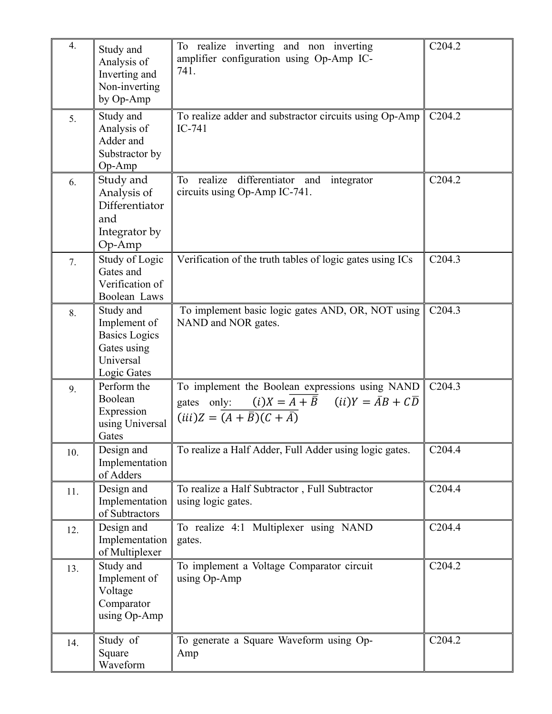| 4.  | Study and<br>Analysis of<br>Inverting and<br>Non-inverting<br>by Op-Amp                      | To realize inverting and non inverting<br>amplifier configuration using Op-Amp IC-<br>741.                                                                                                                | C <sub>2</sub> 04.2 |
|-----|----------------------------------------------------------------------------------------------|-----------------------------------------------------------------------------------------------------------------------------------------------------------------------------------------------------------|---------------------|
| 5.  | Study and<br>Analysis of<br>Adder and<br>Substractor by<br>Op-Amp                            | To realize adder and substractor circuits using Op-Amp<br>IC-741                                                                                                                                          | C <sub>2</sub> 04.2 |
| 6.  | Study and<br>Analysis of<br>Differentiator<br>and<br>Integrator by<br>Op-Amp                 | realize<br>differentiator and integrator<br>To<br>circuits using Op-Amp IC-741.                                                                                                                           | C <sub>2</sub> 04.2 |
| 7.  | Study of Logic<br>Gates and<br>Verification of<br>Boolean Laws                               | Verification of the truth tables of logic gates using ICs                                                                                                                                                 | C204.3              |
| 8.  | Study and<br>Implement of<br><b>Basics Logics</b><br>Gates using<br>Universal<br>Logic Gates | To implement basic logic gates AND, OR, NOT using<br>NAND and NOR gates.                                                                                                                                  | C <sub>2</sub> 04.3 |
| 9.  | Perform the<br>Boolean<br>Expression<br>using Universal<br>Gates                             | To implement the Boolean expressions using NAND<br>gates only: $(i)X = \overline{A + \overline{B}}$ $(ii)Y = \overline{A}B + C\overline{D}$<br>$(iii)Z = \overline{(A + \overline{B})(C + \overline{A})}$ | C <sub>204.3</sub>  |
| 10. | Design and<br>Implementation<br>of Adders                                                    | To realize a Half Adder, Full Adder using logic gates.                                                                                                                                                    | C <sub>204.4</sub>  |
| 11. | Design and<br>Implementation<br>of Subtractors                                               | To realize a Half Subtractor, Full Subtractor<br>using logic gates.                                                                                                                                       | C <sub>204.4</sub>  |
| 12. | Design and<br>Implementation<br>of Multiplexer                                               | To realize 4:1 Multiplexer using NAND<br>gates.                                                                                                                                                           | C <sub>204.4</sub>  |
| 13. | Study and<br>Implement of<br>Voltage<br>Comparator<br>using Op-Amp                           | To implement a Voltage Comparator circuit<br>using Op-Amp                                                                                                                                                 | C <sub>204.2</sub>  |
| 14. | Study of<br>Square<br>Waveform                                                               | To generate a Square Waveform using Op-<br>Amp                                                                                                                                                            | C <sub>2</sub> 04.2 |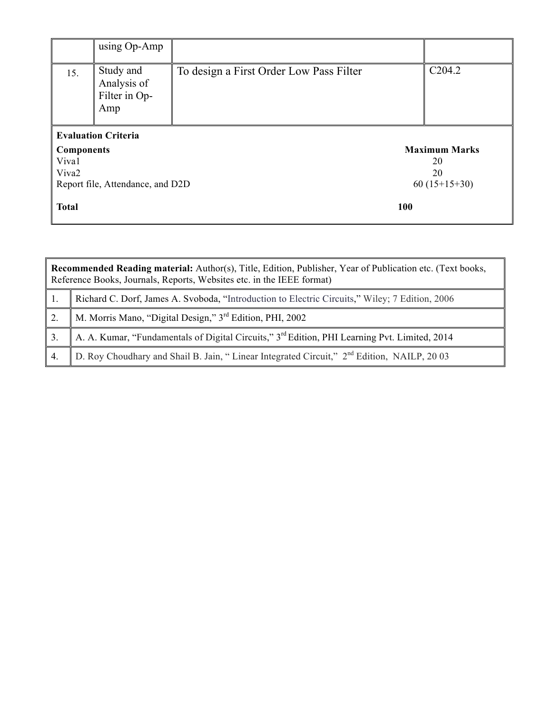|                   | using $Op-Amp$                                   |                                         |                      |  |
|-------------------|--------------------------------------------------|-----------------------------------------|----------------------|--|
| 15.               | Study and<br>Analysis of<br>Filter in Op-<br>Amp | To design a First Order Low Pass Filter | C <sub>2</sub> 04.2  |  |
|                   | <b>Evaluation Criteria</b>                       |                                         |                      |  |
| <b>Components</b> |                                                  |                                         | <b>Maximum Marks</b> |  |
| Viva1             |                                                  |                                         | 20                   |  |
| Viva2             |                                                  |                                         | 20                   |  |
|                   | Report file, Attendance, and D2D                 |                                         | $60(15+15+30)$       |  |
| <b>Total</b>      |                                                  | 100                                     |                      |  |

|                | <b>Recommended Reading material:</b> Author(s), Title, Edition, Publisher, Year of Publication etc. (Text books,<br>Reference Books, Journals, Reports, Websites etc. in the IEEE format) |  |  |  |  |  |  |
|----------------|-------------------------------------------------------------------------------------------------------------------------------------------------------------------------------------------|--|--|--|--|--|--|
|                | Richard C. Dorf, James A. Svoboda, "Introduction to Electric Circuits," Wiley; 7 Edition, 2006                                                                                            |  |  |  |  |  |  |
| 2.             | M. Morris Mano, "Digital Design," 3 <sup>rd</sup> Edition, PHI, 2002                                                                                                                      |  |  |  |  |  |  |
|                | A. A. Kumar, "Fundamentals of Digital Circuits," 3 <sup>rd</sup> Edition, PHI Learning Pvt. Limited, 2014                                                                                 |  |  |  |  |  |  |
| $\overline{4}$ | D. Roy Choudhary and Shail B. Jain, "Linear Integrated Circuit," 2 <sup>nd</sup> Edition, NAILP, 2003                                                                                     |  |  |  |  |  |  |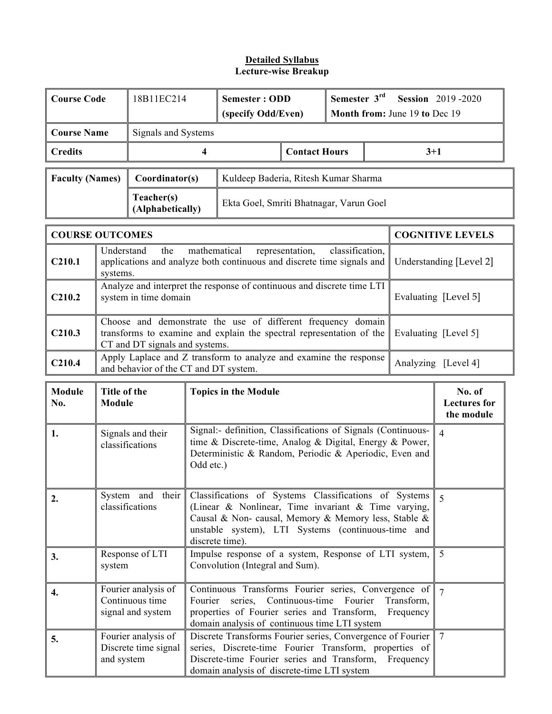| <b>Course Code</b>     |                               | 18B11EC214                                                                                                                                                             | <b>Semester: ODD</b><br>(specify Odd/Even)                                                                                                                                                                                                    |                                                                                                                                                                                                                    |                      | Semester 3rd<br><b>Session</b> 2019-2020<br>Month from: June 19 to Dec 19 |                                             |           |                         |
|------------------------|-------------------------------|------------------------------------------------------------------------------------------------------------------------------------------------------------------------|-----------------------------------------------------------------------------------------------------------------------------------------------------------------------------------------------------------------------------------------------|--------------------------------------------------------------------------------------------------------------------------------------------------------------------------------------------------------------------|----------------------|---------------------------------------------------------------------------|---------------------------------------------|-----------|-------------------------|
| <b>Course Name</b>     |                               | Signals and Systems                                                                                                                                                    |                                                                                                                                                                                                                                               |                                                                                                                                                                                                                    |                      |                                                                           |                                             |           |                         |
| <b>Credits</b>         |                               |                                                                                                                                                                        | 4                                                                                                                                                                                                                                             |                                                                                                                                                                                                                    | <b>Contact Hours</b> |                                                                           |                                             | $3 + 1$   |                         |
| <b>Faculty (Names)</b> |                               | Coordinator(s)                                                                                                                                                         |                                                                                                                                                                                                                                               | Kuldeep Baderia, Ritesh Kumar Sharma                                                                                                                                                                               |                      |                                                                           |                                             |           |                         |
|                        |                               | Teacher(s)<br>(Alphabetically)                                                                                                                                         |                                                                                                                                                                                                                                               | Ekta Goel, Smriti Bhatnagar, Varun Goel                                                                                                                                                                            |                      |                                                                           |                                             |           |                         |
| <b>COURSE OUTCOMES</b> |                               |                                                                                                                                                                        |                                                                                                                                                                                                                                               |                                                                                                                                                                                                                    |                      |                                                                           |                                             |           | <b>COGNITIVE LEVELS</b> |
| C <sub>210.1</sub>     | Understand<br>systems.        | the                                                                                                                                                                    | mathematical                                                                                                                                                                                                                                  | applications and analyze both continuous and discrete time signals and                                                                                                                                             | representation,      | classification,                                                           |                                             |           | Understanding [Level 2] |
| C210.2                 |                               | system in time domain                                                                                                                                                  |                                                                                                                                                                                                                                               | Analyze and interpret the response of continuous and discrete time LTI                                                                                                                                             |                      |                                                                           |                                             |           | Evaluating [Level 5]    |
| C <sub>210.3</sub>     |                               | Choose and demonstrate the use of different frequency domain<br>transforms to examine and explain the spectral representation of the<br>CT and DT signals and systems. |                                                                                                                                                                                                                                               |                                                                                                                                                                                                                    |                      |                                                                           | Evaluating [Level 5]                        |           |                         |
| C <sub>210.4</sub>     |                               | and behavior of the CT and DT system.                                                                                                                                  |                                                                                                                                                                                                                                               | Apply Laplace and Z transform to analyze and examine the response                                                                                                                                                  |                      |                                                                           |                                             |           | Analyzing [Level 4]     |
| <b>Module</b><br>No.   | Title of the<br><b>Module</b> |                                                                                                                                                                        | <b>Topics in the Module</b>                                                                                                                                                                                                                   |                                                                                                                                                                                                                    |                      |                                                                           | No. of<br><b>Lectures</b> for<br>the module |           |                         |
| 1.                     |                               | Signals and their<br>classifications                                                                                                                                   | Signal:- definition, Classifications of Signals (Continuous-<br>time & Discrete-time, Analog & Digital, Energy & Power,<br>Deterministic & Random, Periodic & Aperiodic, Even and<br>Odd etc.)                                                |                                                                                                                                                                                                                    |                      |                                                                           | $\overline{4}$                              |           |                         |
| 2.                     |                               | System and their<br>classifications                                                                                                                                    | Classifications of Systems Classifications of Systems<br>(Linear & Nonlinear, Time invariant & Time varying,<br>Causal & Non- causal, Memory & Memory less, Stable &<br>unstable system), LTI Systems (continuous-time and<br>discrete time). |                                                                                                                                                                                                                    |                      |                                                                           | 5                                           |           |                         |
| 3.                     | system                        | Impulse response of a system, Response of LTI system,<br>Response of LTI<br>Convolution (Integral and Sum).                                                            |                                                                                                                                                                                                                                               |                                                                                                                                                                                                                    |                      | 5                                                                         |                                             |           |                         |
| 4.                     |                               | Fourier analysis of<br>Continuous time<br>signal and system                                                                                                            | Continuous Transforms Fourier series, Convergence of<br>Fourier series, Continuous-time Fourier<br>Transform,<br>properties of Fourier series and Transform,<br>Frequency<br>domain analysis of continuous time LTI system                    |                                                                                                                                                                                                                    |                      |                                                                           | $\overline{7}$                              |           |                         |
| 5.                     | and system                    | Fourier analysis of<br>Discrete time signal                                                                                                                            |                                                                                                                                                                                                                                               | Discrete Transforms Fourier series, Convergence of Fourier<br>series, Discrete-time Fourier Transform, properties of<br>Discrete-time Fourier series and Transform,<br>domain analysis of discrete-time LTI system |                      |                                                                           |                                             | Frequency | 7                       |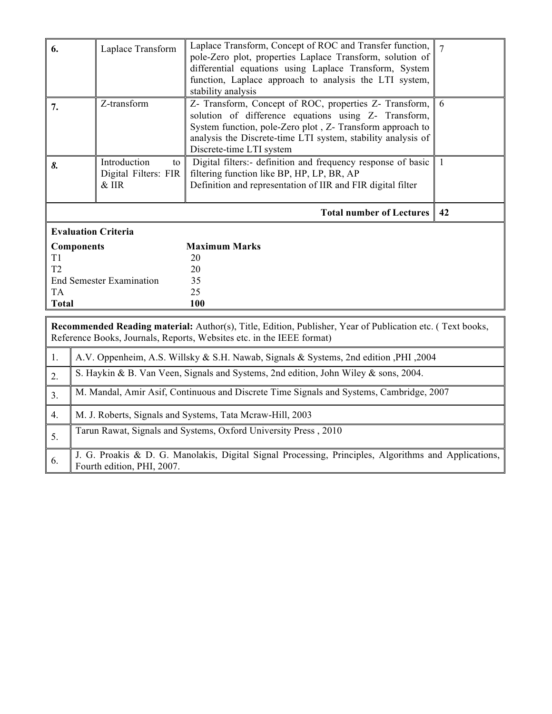| 6.                                                                                                                                                                                 | Laplace Transform                                                                       | $\overline{7}$                                                                                                                                                                                                                                                          |              |  |  |  |  |
|------------------------------------------------------------------------------------------------------------------------------------------------------------------------------------|-----------------------------------------------------------------------------------------|-------------------------------------------------------------------------------------------------------------------------------------------------------------------------------------------------------------------------------------------------------------------------|--------------|--|--|--|--|
| 7.                                                                                                                                                                                 | Z-transform                                                                             | Z- Transform, Concept of ROC, properties Z- Transform,<br>solution of difference equations using Z- Transform,<br>System function, pole-Zero plot, Z- Transform approach to<br>analysis the Discrete-time LTI system, stability analysis of<br>Discrete-time LTI system | 6            |  |  |  |  |
| 8.                                                                                                                                                                                 | Introduction<br>to<br>Digital Filters: FIR<br>$&$ IIR                                   | Digital filters:- definition and frequency response of basic<br>filtering function like BP, HP, LP, BR, AP<br>Definition and representation of IIR and FIR digital filter                                                                                               | $\mathbf{1}$ |  |  |  |  |
|                                                                                                                                                                                    |                                                                                         | <b>Total number of Lectures</b>                                                                                                                                                                                                                                         | 42           |  |  |  |  |
|                                                                                                                                                                                    | <b>Evaluation Criteria</b>                                                              |                                                                                                                                                                                                                                                                         |              |  |  |  |  |
|                                                                                                                                                                                    | <b>Components</b>                                                                       | <b>Maximum Marks</b>                                                                                                                                                                                                                                                    |              |  |  |  |  |
| T1<br>T <sub>2</sub>                                                                                                                                                               |                                                                                         | 20                                                                                                                                                                                                                                                                      |              |  |  |  |  |
|                                                                                                                                                                                    | <b>End Semester Examination</b>                                                         | 20<br>35                                                                                                                                                                                                                                                                |              |  |  |  |  |
| <b>TA</b>                                                                                                                                                                          |                                                                                         | 25                                                                                                                                                                                                                                                                      |              |  |  |  |  |
| <b>Total</b>                                                                                                                                                                       |                                                                                         | 100                                                                                                                                                                                                                                                                     |              |  |  |  |  |
| Recommended Reading material: Author(s), Title, Edition, Publisher, Year of Publication etc. (Text books,<br>Reference Books, Journals, Reports, Websites etc. in the IEEE format) |                                                                                         |                                                                                                                                                                                                                                                                         |              |  |  |  |  |
| 1.                                                                                                                                                                                 | A.V. Oppenheim, A.S. Willsky & S.H. Nawab, Signals & Systems, 2nd edition , PHI , 2004  |                                                                                                                                                                                                                                                                         |              |  |  |  |  |
| 2.                                                                                                                                                                                 | S. Haykin & B. Van Veen, Signals and Systems, 2nd edition, John Wiley & sons, 2004.     |                                                                                                                                                                                                                                                                         |              |  |  |  |  |
| 3.                                                                                                                                                                                 | M. Mandal, Amir Asif, Continuous and Discrete Time Signals and Systems, Cambridge, 2007 |                                                                                                                                                                                                                                                                         |              |  |  |  |  |
| 4.                                                                                                                                                                                 |                                                                                         | M. J. Roberts, Signals and Systems, Tata Mcraw-Hill, 2003                                                                                                                                                                                                               |              |  |  |  |  |
| 5.                                                                                                                                                                                 |                                                                                         | Tarun Rawat, Signals and Systems, Oxford University Press, 2010                                                                                                                                                                                                         |              |  |  |  |  |
| 6.                                                                                                                                                                                 | Fourth edition, PHI, 2007.                                                              | J. G. Proakis & D. G. Manolakis, Digital Signal Processing, Principles, Algorithms and Applications,                                                                                                                                                                    |              |  |  |  |  |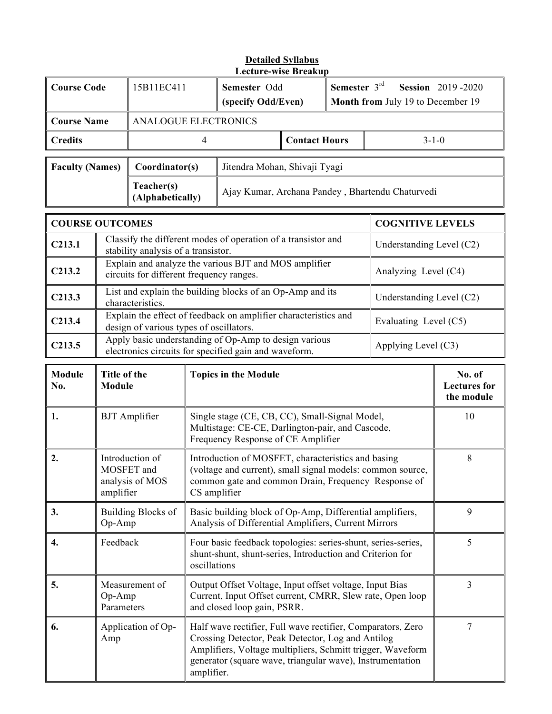| <b>Course Code</b>     |                                                                                                                                     | Semester $3rd$<br>15B11EC411<br>Semester Odd<br>(specify Odd/Even)<br>Month from July 19 to December 19                               |                                                  | <b>Session</b> 2019-2020 |             |  |
|------------------------|-------------------------------------------------------------------------------------------------------------------------------------|---------------------------------------------------------------------------------------------------------------------------------------|--------------------------------------------------|--------------------------|-------------|--|
| <b>Course Name</b>     |                                                                                                                                     | <b>ANALOGUE ELECTRONICS</b>                                                                                                           |                                                  |                          |             |  |
| <b>Credits</b>         |                                                                                                                                     |                                                                                                                                       | <b>Contact Hours</b>                             |                          | $3 - 1 - 0$ |  |
| <b>Faculty (Names)</b> |                                                                                                                                     | Coordinator(s)                                                                                                                        | Jitendra Mohan, Shivaji Tyagi                    |                          |             |  |
|                        |                                                                                                                                     | Teacher(s)<br>(Alphabetically)                                                                                                        | Ajay Kumar, Archana Pandey, Bhartendu Chaturvedi |                          |             |  |
|                        | <b>COURSE OUTCOMES</b><br><b>COGNITIVE LEVELS</b>                                                                                   |                                                                                                                                       |                                                  |                          |             |  |
| C <sub>213.1</sub>     | Classify the different modes of operation of a transistor and<br>stability analysis of a transistor.                                |                                                                                                                                       | Understanding Level (C2)                         |                          |             |  |
| C <sub>213.2</sub>     | Explain and analyze the various BJT and MOS amplifier<br>Analyzing Level (C4)<br>circuits for different frequency ranges.           |                                                                                                                                       |                                                  |                          |             |  |
| C <sub>213.3</sub>     | List and explain the building blocks of an Op-Amp and its<br>Understanding Level (C2)<br>characteristics.                           |                                                                                                                                       |                                                  |                          |             |  |
| C213.4                 | Explain the effect of feedback on amplifier characteristics and<br>Evaluating Level (C5)<br>design of various types of oscillators. |                                                                                                                                       |                                                  |                          |             |  |
| C <sub>213.5</sub>     |                                                                                                                                     | Apply basic understanding of Op-Amp to design various<br>Applying Level (C3)<br>electronics circuits for specified gain and waveform. |                                                  |                          |             |  |

| Module<br>No.    | Title of the<br><b>Module</b>                                 | <b>Topics in the Module</b>                                                                                                                                                                                                                               | No. of<br><b>Lectures for</b><br>the module |
|------------------|---------------------------------------------------------------|-----------------------------------------------------------------------------------------------------------------------------------------------------------------------------------------------------------------------------------------------------------|---------------------------------------------|
| 1.               | <b>BJT</b> Amplifier                                          | Single stage (CE, CB, CC), Small-Signal Model,<br>Multistage: CE-CE, Darlington-pair, and Cascode,<br>Frequency Response of CE Amplifier                                                                                                                  | 10                                          |
| 2.               | Introduction of<br>MOSFET and<br>analysis of MOS<br>amplifier | Introduction of MOSFET, characteristics and basing<br>(voltage and current), small signal models: common source,<br>common gate and common Drain, Frequency Response of<br>CS amplifier                                                                   | 8                                           |
| 3.               | <b>Building Blocks of</b><br>Op-Amp                           | Basic building block of Op-Amp, Differential amplifiers,<br>Analysis of Differential Amplifiers, Current Mirrors                                                                                                                                          | 9                                           |
| $\overline{4}$ . | Feedback                                                      | Four basic feedback topologies: series-shunt, series-series,<br>shunt-shunt, shunt-series, Introduction and Criterion for<br>oscillations                                                                                                                 | 5                                           |
| 5.               | Measurement of<br>$Op-Amp$<br>Parameters                      | Output Offset Voltage, Input offset voltage, Input Bias<br>Current, Input Offset current, CMRR, Slew rate, Open loop<br>and closed loop gain, PSRR.                                                                                                       | 3                                           |
| 6.               | Application of Op-<br>Amp                                     | Half wave rectifier, Full wave rectifier, Comparators, Zero<br>Crossing Detector, Peak Detector, Log and Antilog<br>Amplifiers, Voltage multipliers, Schmitt trigger, Waveform<br>generator (square wave, triangular wave), Instrumentation<br>amplifier. | 7                                           |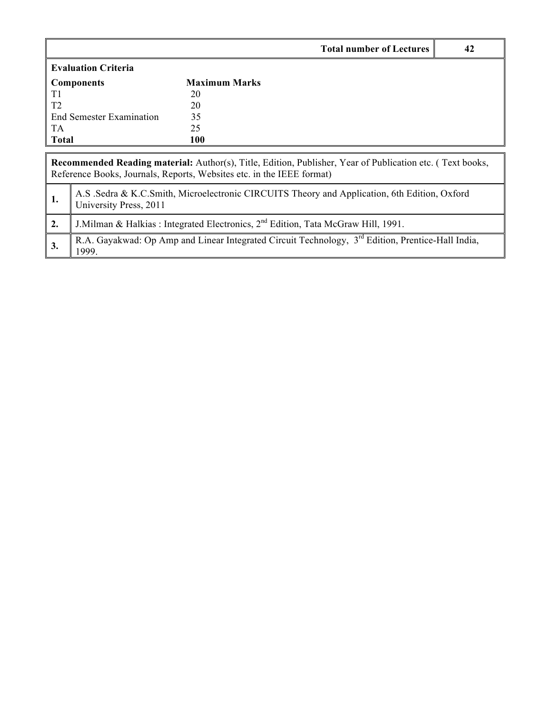|                     |                                                                                                                                                                                           | <b>Total number of Lectures</b> | 42 |  |  |  |
|---------------------|-------------------------------------------------------------------------------------------------------------------------------------------------------------------------------------------|---------------------------------|----|--|--|--|
|                     | <b>Evaluation Criteria</b>                                                                                                                                                                |                                 |    |  |  |  |
| <b>Components</b>   |                                                                                                                                                                                           | <b>Maximum Marks</b>            |    |  |  |  |
| T1                  |                                                                                                                                                                                           | 20                              |    |  |  |  |
| T <sub>2</sub>      |                                                                                                                                                                                           | 20                              |    |  |  |  |
|                     | End Semester Examination                                                                                                                                                                  | 35                              |    |  |  |  |
| <b>TA</b>           |                                                                                                                                                                                           | 25                              |    |  |  |  |
| <b>Total</b><br>100 |                                                                                                                                                                                           |                                 |    |  |  |  |
|                     | <b>Recommended Reading material:</b> Author(s), Title, Edition, Publisher, Year of Publication etc. (Text books,<br>Reference Books, Journals, Reports, Websites etc. in the IEEE format) |                                 |    |  |  |  |
| 1.                  | A.S. Sedra & K.C.Smith, Microelectronic CIRCUITS Theory and Application, 6th Edition, Oxford<br>University Press, 2011                                                                    |                                 |    |  |  |  |
| 2.                  | J. Milman & Halkias : Integrated Electronics, $2^{nd}$ Edition, Tata McGraw Hill, 1991.                                                                                                   |                                 |    |  |  |  |
| 3.                  | R.A. Gayakwad: Op Amp and Linear Integrated Circuit Technology, 3 <sup>rd</sup> Edition, Prentice-Hall India,<br>1999.                                                                    |                                 |    |  |  |  |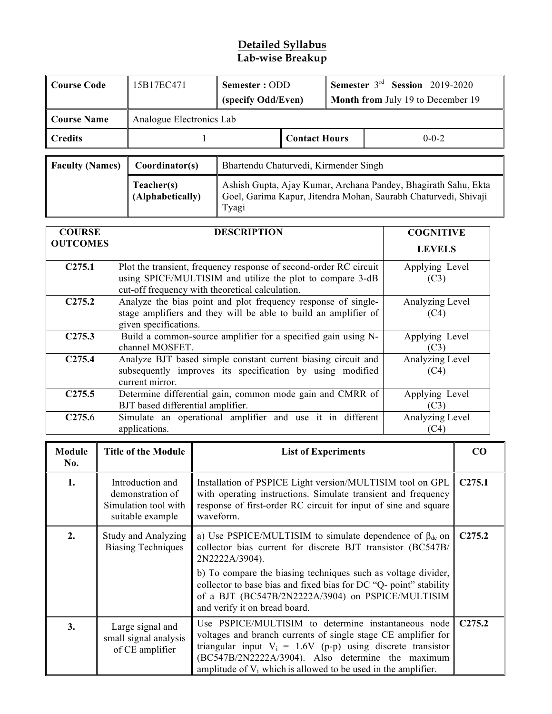# **Detailed Syllabus Lab-wise Breakup**

| Course Code    | 15B17EC471               | Semester: ODD<br>(specify Odd/Even) |                      | <b>Semester</b> $3^{rd}$ <b>Session</b> 2019-2020<br><b>Month from July 19 to December 19</b> |             |
|----------------|--------------------------|-------------------------------------|----------------------|-----------------------------------------------------------------------------------------------|-------------|
| ∥ Course Name  | Analogue Electronics Lab |                                     |                      |                                                                                               |             |
| <b>Credits</b> |                          |                                     | <b>Contact Hours</b> |                                                                                               | $0 - 0 - 2$ |

| <b>Faculty (Names)</b> | Coordinator(s)                 | Bhartendu Chaturvedi, Kirmender Singh                                                                                                      |
|------------------------|--------------------------------|--------------------------------------------------------------------------------------------------------------------------------------------|
|                        | Teacher(s)<br>(Alphabetically) | Ashish Gupta, Ajay Kumar, Archana Pandey, Bhagirath Sahu, Ekta<br>Goel, Garima Kapur, Jitendra Mohan, Saurabh Chaturvedi, Shivaji<br>Tyagi |

| <b>COURSE</b>      | <b>DESCRIPTION</b>                                                                                                                                                                | <b>COGNITIVE</b>        |
|--------------------|-----------------------------------------------------------------------------------------------------------------------------------------------------------------------------------|-------------------------|
| <b>OUTCOMES</b>    |                                                                                                                                                                                   | <b>LEVELS</b>           |
| C275.1             | Plot the transient, frequency response of second-order RC circuit<br>using SPICE/MULTISIM and utilize the plot to compare 3-dB<br>cut-off frequency with theoretical calculation. | Applying Level<br>(C3)  |
| C275.2             | Analyze the bias point and plot frequency response of single-<br>stage amplifiers and they will be able to build an amplifier of<br>given specifications.                         | Analyzing Level<br>(C4) |
| C <sub>275.3</sub> | Build a common-source amplifier for a specified gain using N-<br>channel MOSFET.                                                                                                  | Applying Level<br>(C3)  |
| C <sub>275.4</sub> | Analyze BJT based simple constant current biasing circuit and<br>subsequently improves its specification by using modified<br>current mirror.                                     | Analyzing Level<br>(C4) |
| C <sub>275.5</sub> | Determine differential gain, common mode gain and CMRR of<br>BJT based differential amplifier.                                                                                    | Applying Level<br>(C3)  |
| C <sub>275.6</sub> | Simulate an operational amplifier and use it in different<br>applications.                                                                                                        | Analyzing Level<br>(C4) |

| Module<br>No. | <b>Title of the Module</b>                                                       | <b>List of Experiments</b>                                                                                                                                                                                                                                                                                                                                                    | CO                 |
|---------------|----------------------------------------------------------------------------------|-------------------------------------------------------------------------------------------------------------------------------------------------------------------------------------------------------------------------------------------------------------------------------------------------------------------------------------------------------------------------------|--------------------|
| 1.            | Introduction and<br>demonstration of<br>Simulation tool with<br>suitable example | Installation of PSPICE Light version/MULTISIM tool on GPL<br>with operating instructions. Simulate transient and frequency<br>response of first-order RC circuit for input of sine and square<br>waveform.                                                                                                                                                                    | C <sub>275.1</sub> |
| 2.            | <b>Study and Analyzing</b><br><b>Biasing Techniques</b>                          | a) Use PSPICE/MULTISIM to simulate dependence of $\beta_{dc}$ on<br>collector bias current for discrete BJT transistor (BC547B/<br>2N2222A/3904).<br>b) To compare the biasing techniques such as voltage divider,<br>collector to base bias and fixed bias for DC "Q- point" stability<br>of a BJT (BC547B/2N2222A/3904) on PSPICE/MULTISIM<br>and verify it on bread board. | C275.2             |
| 3.            | Large signal and<br>small signal analysis<br>of CE amplifier                     | Use PSPICE/MULTISIM to determine instantaneous node<br>voltages and branch currents of single stage CE amplifier for<br>triangular input $V_i = 1.6V$ (p-p) using discrete transistor<br>(BC547B/2N2222A/3904). Also determine the maximum<br>amplitude of $V_i$ which is allowed to be used in the amplifier.                                                                | C <sub>275.2</sub> |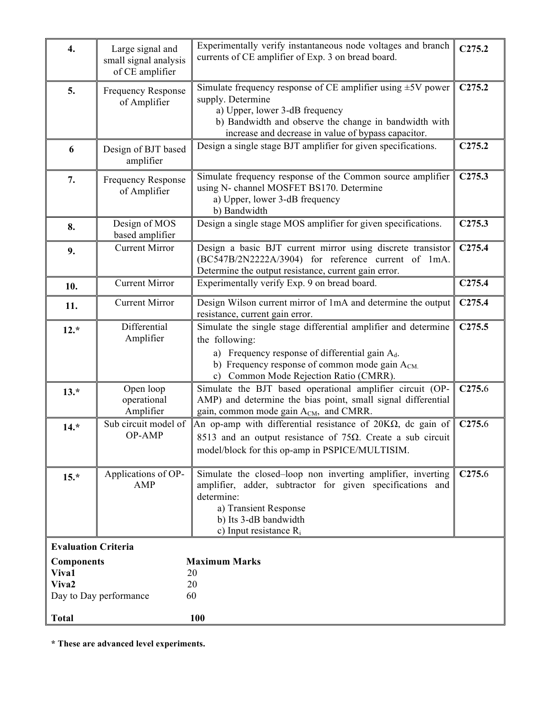| 4.                                                                                                                             | Large signal and<br>small signal analysis<br>of CE amplifier | Experimentally verify instantaneous node voltages and branch<br>currents of CE amplifier of Exp. 3 on bread board.                                                                                                                                | C275.2             |  |
|--------------------------------------------------------------------------------------------------------------------------------|--------------------------------------------------------------|---------------------------------------------------------------------------------------------------------------------------------------------------------------------------------------------------------------------------------------------------|--------------------|--|
| 5.                                                                                                                             | <b>Frequency Response</b><br>of Amplifier                    | Simulate frequency response of CE amplifier using $\pm$ 5V power<br>supply. Determine<br>a) Upper, lower 3-dB frequency<br>b) Bandwidth and observe the change in bandwidth with<br>increase and decrease in value of bypass capacitor.           | C275.2             |  |
| 6                                                                                                                              | Design of BJT based<br>amplifier                             | Design a single stage BJT amplifier for given specifications.                                                                                                                                                                                     | C275.2             |  |
| 7.                                                                                                                             | <b>Frequency Response</b><br>of Amplifier                    | Simulate frequency response of the Common source amplifier<br>using N- channel MOSFET BS170. Determine<br>a) Upper, lower 3-dB frequency<br>b) Bandwidth                                                                                          | C <sub>275.3</sub> |  |
| 8.                                                                                                                             | Design of MOS<br>based amplifier                             | Design a single stage MOS amplifier for given specifications.                                                                                                                                                                                     | C275.3             |  |
| 9.                                                                                                                             | <b>Current Mirror</b>                                        | Design a basic BJT current mirror using discrete transistor<br>(BC547B/2N2222A/3904) for reference current of 1mA.<br>Determine the output resistance, current gain error.                                                                        | C <sub>275.4</sub> |  |
| 10.                                                                                                                            | <b>Current Mirror</b>                                        | Experimentally verify Exp. 9 on bread board.                                                                                                                                                                                                      | C <sub>275.4</sub> |  |
| 11.                                                                                                                            | <b>Current Mirror</b>                                        | Design Wilson current mirror of 1mA and determine the output<br>resistance, current gain error.                                                                                                                                                   | C <sub>275.4</sub> |  |
| $12.*$                                                                                                                         | Differential<br>Amplifier                                    | Simulate the single stage differential amplifier and determine<br>the following:<br>a) Frequency response of differential gain $A_d$ .<br>b) Frequency response of common mode gain A <sub>CM.</sub><br>Common Mode Rejection Ratio (CMRR).<br>c) | C275.5             |  |
| $13.*$                                                                                                                         | Open loop<br>operational<br>Amplifier                        | Simulate the BJT based operational amplifier circuit (OP-<br>AMP) and determine the bias point, small signal differential<br>gain, common mode gain A <sub>CM</sub> , and CMRR.                                                                   | C <sub>275.6</sub> |  |
| $14.*$                                                                                                                         | Sub circuit model of<br>OP-AMP                               | An op-amp with differential resistance of $20K\Omega$ , dc gain of<br>8513 and an output resistance of 75 $\Omega$ . Create a sub circuit<br>model/block for this op-amp in PSPICE/MULTISIM.                                                      | C <sub>275.6</sub> |  |
| $15.*$                                                                                                                         | Applications of OP-<br>AMP                                   | Simulate the closed-loop non inverting amplifier, inverting<br>amplifier, adder, subtractor for given specifications and<br>determine:<br>a) Transient Response<br>b) Its 3-dB bandwidth<br>c) Input resistance $R_i$                             | C <sub>275.6</sub> |  |
|                                                                                                                                | <b>Evaluation Criteria</b>                                   |                                                                                                                                                                                                                                                   |                    |  |
| <b>Maximum Marks</b><br><b>Components</b><br>Viva1<br>20<br>Viva2<br>20<br>60<br>Day to Day performance<br>100<br><b>Total</b> |                                                              |                                                                                                                                                                                                                                                   |                    |  |

**\* These are advanced level experiments.**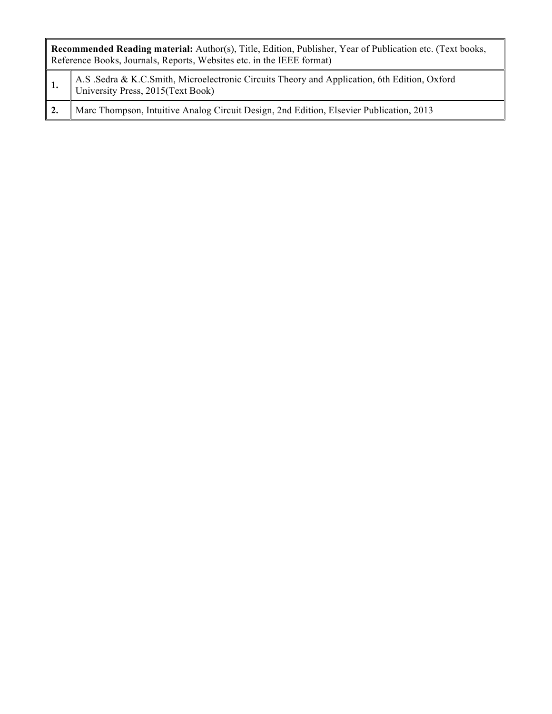| Recommended Reading material: Author(s), Title, Edition, Publisher, Year of Publication etc. (Text books,<br>Reference Books, Journals, Reports, Websites etc. in the IEEE format) |  |  |  |
|------------------------------------------------------------------------------------------------------------------------------------------------------------------------------------|--|--|--|
| 1. A.S. Sedra & K.C.Smith, Microelectronic Circuits Theory and Application, 6th Edition, Oxford University Press, 2015(Text Book)                                                  |  |  |  |
| Marc Thompson, Intuitive Analog Circuit Design, 2nd Edition, Elsevier Publication, 2013                                                                                            |  |  |  |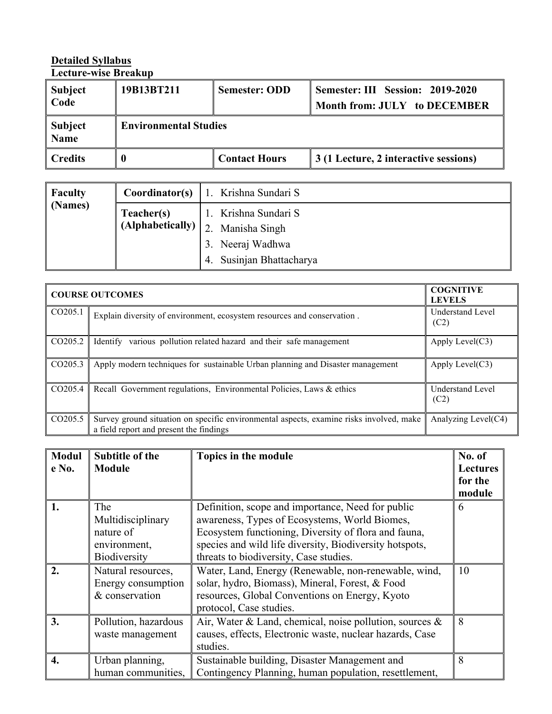# **Detailed Syllabus**

**Lecture-wise Breakup**

| Subject<br>$\vert$ Code | 19B13BT211                   | <b>Semester: ODD</b> | Semester: III Session: 2019-2020<br>Month from: JULY to DECEMBER |
|-------------------------|------------------------------|----------------------|------------------------------------------------------------------|
| Subject<br><b>Name</b>  | <b>Environmental Studies</b> |                      |                                                                  |
| Credits                 |                              | <b>Contact Hours</b> | 3 (1 Lecture, 2 interactive sessions)                            |

| Faculty                      |            | <b>Coordinator(s)</b>   1. Krishna Sundari S    |
|------------------------------|------------|-------------------------------------------------|
| $\sqrt{\phantom{a}}$ (Names) | Teacher(s) | 1. Krishna Sundari S                            |
|                              |            | $\sim$ (Alphabetically) $\mid$ 2. Manisha Singh |
|                              |            | 3. Neeraj Wadhwa                                |
|                              |            | 4. Susinjan Bhattacharya                        |

|                     | <b>COURSE OUTCOMES</b>                                                                                                             |                                 |  |
|---------------------|------------------------------------------------------------------------------------------------------------------------------------|---------------------------------|--|
| CO <sub>205.1</sub> | Explain diversity of environment, ecosystem resources and conservation.                                                            | <b>Understand Level</b><br>(C2) |  |
| CO205.2             | various pollution related hazard and their safe management<br>Identify                                                             | Apply Level $(C3)$              |  |
| CO <sub>205.3</sub> | Apply modern techniques for sustainable Urban planning and Disaster management                                                     | Apply Level $(C3)$              |  |
| CO205.4             | Recall Government regulations, Environmental Policies, Laws & ethics                                                               | <b>Understand Level</b><br>(C2) |  |
| CO <sub>205.5</sub> | Survey ground situation on specific environmental aspects, examine risks involved, make<br>a field report and present the findings | Analyzing Level(C4)             |  |

| <b>Modul</b><br>e No. | <b>Subtitle of the</b><br><b>Module</b>                                      | Topics in the module                                                                                                                                                                                                                                            | No. of<br><b>Lectures</b><br>for the<br>module |
|-----------------------|------------------------------------------------------------------------------|-----------------------------------------------------------------------------------------------------------------------------------------------------------------------------------------------------------------------------------------------------------------|------------------------------------------------|
| 1.                    | The<br>Multidisciplinary<br>nature of<br>environment,<br><b>Biodiversity</b> | Definition, scope and importance, Need for public<br>awareness, Types of Ecosystems, World Biomes,<br>Ecosystem functioning, Diversity of flora and fauna,<br>species and wild life diversity, Biodiversity hotspots,<br>threats to biodiversity, Case studies. | 6                                              |
| 2.                    | Natural resources,<br>Energy consumption<br>& conservation                   | Water, Land, Energy (Renewable, non-renewable, wind,<br>solar, hydro, Biomass), Mineral, Forest, & Food<br>resources, Global Conventions on Energy, Kyoto<br>protocol, Case studies.                                                                            | 10                                             |
| 3.                    | Pollution, hazardous<br>waste management                                     | Air, Water & Land, chemical, noise pollution, sources $\&$<br>causes, effects, Electronic waste, nuclear hazards, Case<br>studies.                                                                                                                              | 8                                              |
| 4.                    | Urban planning,<br>human communities.                                        | Sustainable building, Disaster Management and<br>Contingency Planning, human population, resettlement,                                                                                                                                                          | 8                                              |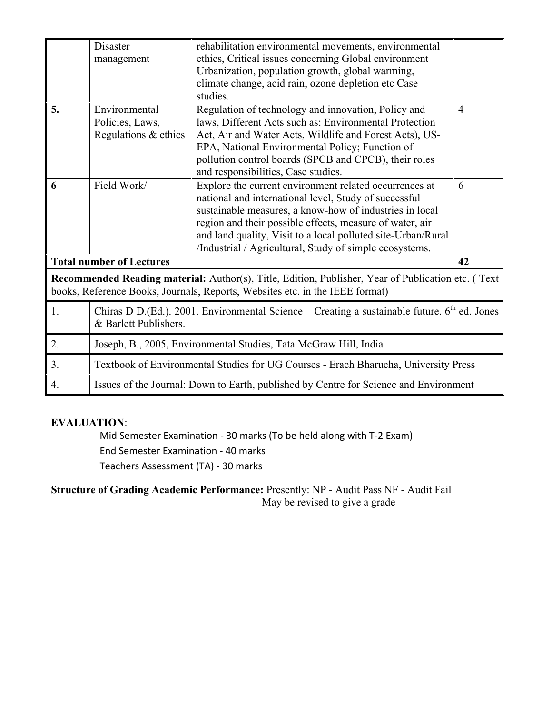|    | Disaster<br>management                                                                                                                                                             | rehabilitation environmental movements, environmental<br>ethics, Critical issues concerning Global environment<br>Urbanization, population growth, global warming,<br>climate change, acid rain, ozone depletion etc Case<br>studies.                                                                                                                             |                |  |  |  |
|----|------------------------------------------------------------------------------------------------------------------------------------------------------------------------------------|-------------------------------------------------------------------------------------------------------------------------------------------------------------------------------------------------------------------------------------------------------------------------------------------------------------------------------------------------------------------|----------------|--|--|--|
| 5. | Environmental<br>Policies, Laws,<br>Regulations & ethics                                                                                                                           | Regulation of technology and innovation, Policy and<br>laws, Different Acts such as: Environmental Protection<br>Act, Air and Water Acts, Wildlife and Forest Acts), US-<br>EPA, National Environmental Policy; Function of<br>pollution control boards (SPCB and CPCB), their roles<br>and responsibilities, Case studies.                                       | $\overline{4}$ |  |  |  |
| 6  | Field Work/                                                                                                                                                                        | Explore the current environment related occurrences at<br>national and international level, Study of successful<br>sustainable measures, a know-how of industries in local<br>region and their possible effects, measure of water, air<br>and land quality, Visit to a local polluted site-Urban/Rural<br>/Industrial / Agricultural, Study of simple ecosystems. | 6              |  |  |  |
|    | <b>Total number of Lectures</b>                                                                                                                                                    |                                                                                                                                                                                                                                                                                                                                                                   | 42             |  |  |  |
|    | Recommended Reading material: Author(s), Title, Edition, Publisher, Year of Publication etc. (Text<br>books, Reference Books, Journals, Reports, Websites etc. in the IEEE format) |                                                                                                                                                                                                                                                                                                                                                                   |                |  |  |  |
| 1. | Chiras D D. (Ed.). 2001. Environmental Science – Creating a sustainable future. $6^{th}$ ed. Jones<br>& Barlett Publishers.                                                        |                                                                                                                                                                                                                                                                                                                                                                   |                |  |  |  |
| 2. | Joseph, B., 2005, Environmental Studies, Tata McGraw Hill, India                                                                                                                   |                                                                                                                                                                                                                                                                                                                                                                   |                |  |  |  |
| 3. | Textbook of Environmental Studies for UG Courses - Erach Bharucha, University Press                                                                                                |                                                                                                                                                                                                                                                                                                                                                                   |                |  |  |  |
| 4. |                                                                                                                                                                                    | Issues of the Journal: Down to Earth, published by Centre for Science and Environment                                                                                                                                                                                                                                                                             |                |  |  |  |

## **EVALUATION**:

Mid Semester Examination - 30 marks (To be held along with T-2 Exam) End Semester Examination - 40 marks Teachers Assessment (TA) - 30 marks

**Structure of Grading Academic Performance:** Presently: NP - Audit Pass NF - Audit Fail May be revised to give a grade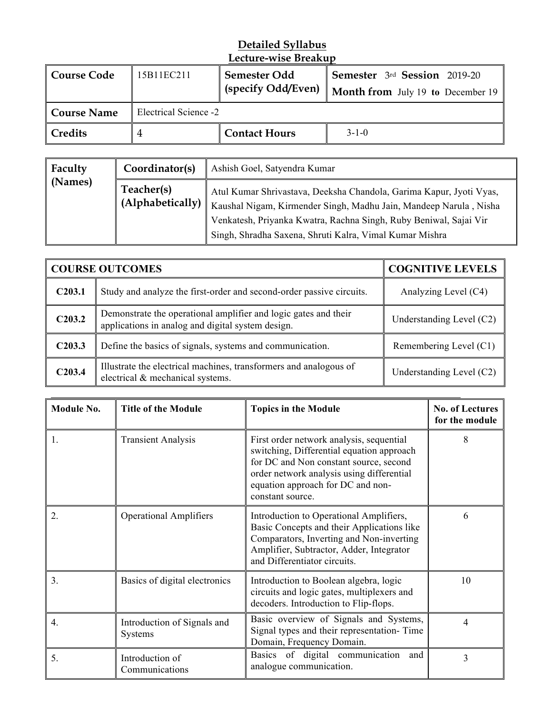| Course Code | 15B11EC211            | Semester Odd         | <b>Semester</b> 3rd <b>Session</b> 2019-20           |
|-------------|-----------------------|----------------------|------------------------------------------------------|
|             |                       | (specify Odd/Even)   | <b>Month from</b> July 19 to December 19 $\parallel$ |
| Course Name | Electrical Science -2 |                      |                                                      |
| Credits     |                       | <b>Contact Hours</b> | $3 - 1 - 0$                                          |

| Faculty | Coordinator(s)                 | Ashish Goel, Satyendra Kumar                                                                                                                                                                                                                                             |
|---------|--------------------------------|--------------------------------------------------------------------------------------------------------------------------------------------------------------------------------------------------------------------------------------------------------------------------|
| (Names) | Teacher(s)<br>(A1phabetically) | Atul Kumar Shrivastava, Deeksha Chandola, Garima Kapur, Jyoti Vyas,<br>Kaushal Nigam, Kirmender Singh, Madhu Jain, Mandeep Narula, Nisha<br>Venkatesh, Priyanka Kwatra, Rachna Singh, Ruby Beniwal, Sajai Vir<br>Singh, Shradha Saxena, Shruti Kalra, Vimal Kumar Mishra |

|                     | <b>COURSE OUTCOMES</b>                                                                                               | <b>COGNITIVE LEVELS</b>  |
|---------------------|----------------------------------------------------------------------------------------------------------------------|--------------------------|
| C <sub>2</sub> 03.1 | Study and analyze the first-order and second-order passive circuits.                                                 | Analyzing Level (C4)     |
| C203.2              | Demonstrate the operational amplifier and logic gates and their<br>applications in analog and digital system design. | Understanding Level (C2) |
| C <sub>2</sub> 03.3 | Define the basics of signals, systems and communication.                                                             | Remembering Level (C1)   |
| C203.4              | Illustrate the electrical machines, transformers and analogous of<br>electrical & mechanical systems.                | Understanding Level (C2) |

| <b>Module No.</b> | <b>Title of the Module</b>             | <b>Topics in the Module</b>                                                                                                                                                                                                           | <b>No. of Lectures</b><br>for the module |
|-------------------|----------------------------------------|---------------------------------------------------------------------------------------------------------------------------------------------------------------------------------------------------------------------------------------|------------------------------------------|
| 1.                | <b>Transient Analysis</b>              | First order network analysis, sequential<br>switching, Differential equation approach<br>for DC and Non constant source, second<br>order network analysis using differential<br>equation approach for DC and non-<br>constant source. | 8                                        |
| $\overline{2}$ .  | <b>Operational Amplifiers</b>          | Introduction to Operational Amplifiers,<br>Basic Concepts and their Applications like<br>Comparators, Inverting and Non-inverting<br>Amplifier, Subtractor, Adder, Integrator<br>and Differentiator circuits.                         | 6                                        |
| 3.                | Basics of digital electronics          | Introduction to Boolean algebra, logic<br>circuits and logic gates, multiplexers and<br>decoders. Introduction to Flip-flops.                                                                                                         | 10                                       |
| 4.                | Introduction of Signals and<br>Systems | Basic overview of Signals and Systems,<br>Signal types and their representation-Time<br>Domain, Frequency Domain.                                                                                                                     | 4                                        |
| 5.                | Introduction of<br>Communications      | Basics of digital communication<br>and<br>analogue communication.                                                                                                                                                                     | 3                                        |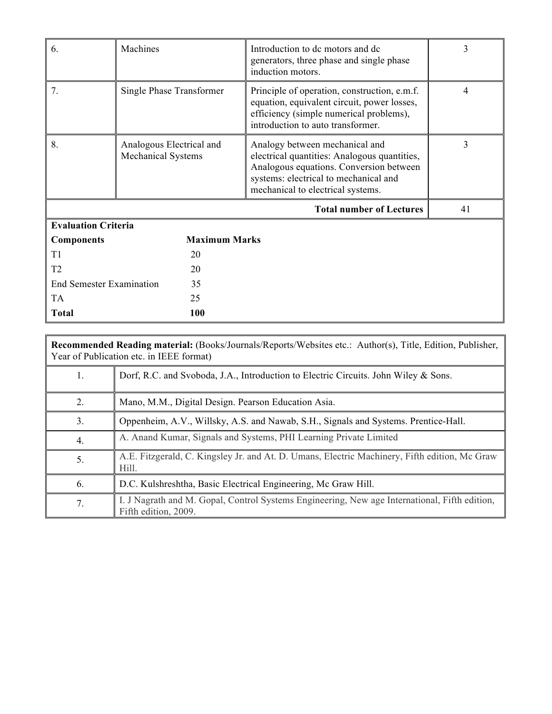| 6.                              | Machines                                              | Introduction to dc motors and dc<br>generators, three phase and single phase<br>induction motors.                                                                                                       | 3  |
|---------------------------------|-------------------------------------------------------|---------------------------------------------------------------------------------------------------------------------------------------------------------------------------------------------------------|----|
| 7.                              | Single Phase Transformer                              | Principle of operation, construction, e.m.f.<br>equation, equivalent circuit, power losses,<br>efficiency (simple numerical problems),<br>introduction to auto transformer.                             | 4  |
| 8.                              | Analogous Electrical and<br><b>Mechanical Systems</b> | Analogy between mechanical and<br>electrical quantities: Analogous quantities,<br>Analogous equations. Conversion between<br>systems: electrical to mechanical and<br>mechanical to electrical systems. | 3  |
|                                 |                                                       | <b>Total number of Lectures</b>                                                                                                                                                                         | 41 |
| <b>Evaluation Criteria</b>      |                                                       |                                                                                                                                                                                                         |    |
| <b>Components</b>               | <b>Maximum Marks</b>                                  |                                                                                                                                                                                                         |    |
| T1                              | 20                                                    |                                                                                                                                                                                                         |    |
| T2                              | 20                                                    |                                                                                                                                                                                                         |    |
| <b>End Semester Examination</b> | 35                                                    |                                                                                                                                                                                                         |    |
| <b>TA</b>                       | 25                                                    |                                                                                                                                                                                                         |    |
| <b>Total</b>                    | 100                                                   |                                                                                                                                                                                                         |    |

|    | <b>Recommended Reading material:</b> (Books/Journals/Reports/Websites etc.: Author(s), Title, Edition, Publisher,<br>Year of Publication etc. in IEEE format) |  |  |  |  |  |
|----|---------------------------------------------------------------------------------------------------------------------------------------------------------------|--|--|--|--|--|
| 1. | Dorf, R.C. and Svoboda, J.A., Introduction to Electric Circuits. John Wiley & Sons.                                                                           |  |  |  |  |  |
| 2. | Mano, M.M., Digital Design. Pearson Education Asia.                                                                                                           |  |  |  |  |  |
| 3  | Oppenheim, A.V., Willsky, A.S. and Nawab, S.H., Signals and Systems. Prentice-Hall.                                                                           |  |  |  |  |  |
| 4. | A. Anand Kumar, Signals and Systems, PHI Learning Private Limited                                                                                             |  |  |  |  |  |
| 5. | A.E. Fitzgerald, C. Kingsley Jr. and At. D. Umans, Electric Machinery, Fifth edition, Mc Graw<br>Hill.                                                        |  |  |  |  |  |
| 6. | D.C. Kulshreshtha, Basic Electrical Engineering, Mc Graw Hill.                                                                                                |  |  |  |  |  |
| 7. | I. J Nagrath and M. Gopal, Control Systems Engineering, New age International, Fifth edition,<br>Fifth edition, 2009.                                         |  |  |  |  |  |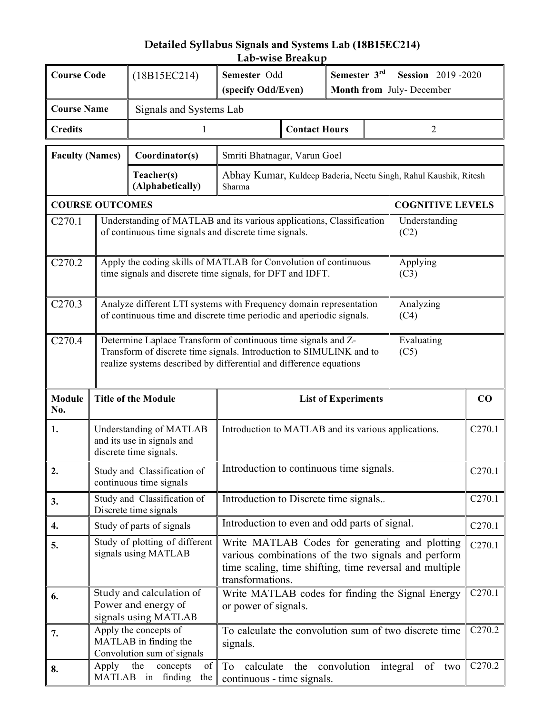# **Detailed Syllabus Signals and Systems Lab (18B15EC214) Lab-wise Breakup**

| <b>Course Code</b>                                                                                                                                                                                                               |                                                                                                                                                            | (18B15EC214)                                                                                                                               | Semester 3rd<br>Semester Odd<br>(specify Odd/Even)<br>Month from July-December                                                                                                       |                      | <b>Session</b> 2019-2020   |                    |                         |        |
|----------------------------------------------------------------------------------------------------------------------------------------------------------------------------------------------------------------------------------|------------------------------------------------------------------------------------------------------------------------------------------------------------|--------------------------------------------------------------------------------------------------------------------------------------------|--------------------------------------------------------------------------------------------------------------------------------------------------------------------------------------|----------------------|----------------------------|--------------------|-------------------------|--------|
| <b>Course Name</b>                                                                                                                                                                                                               |                                                                                                                                                            | Signals and Systems Lab                                                                                                                    |                                                                                                                                                                                      |                      |                            |                    |                         |        |
| <b>Credits</b>                                                                                                                                                                                                                   |                                                                                                                                                            | 1                                                                                                                                          |                                                                                                                                                                                      | <b>Contact Hours</b> |                            |                    | $\overline{2}$          |        |
| <b>Faculty (Names)</b>                                                                                                                                                                                                           |                                                                                                                                                            | Coordinator(s)                                                                                                                             | Smriti Bhatnagar, Varun Goel                                                                                                                                                         |                      |                            |                    |                         |        |
|                                                                                                                                                                                                                                  |                                                                                                                                                            | Teacher(s)<br>(Alphabetically)                                                                                                             | Abhay Kumar, Kuldeep Baderia, Neetu Singh, Rahul Kaushik, Ritesh<br>Sharma                                                                                                           |                      |                            |                    |                         |        |
| <b>COURSE OUTCOMES</b>                                                                                                                                                                                                           |                                                                                                                                                            |                                                                                                                                            |                                                                                                                                                                                      |                      |                            |                    | <b>COGNITIVE LEVELS</b> |        |
| C270.1                                                                                                                                                                                                                           |                                                                                                                                                            | Understanding of MATLAB and its various applications, Classification<br>of continuous time signals and discrete time signals.              |                                                                                                                                                                                      |                      |                            |                    | Understanding<br>(C2)   |        |
| C <sub>270.2</sub>                                                                                                                                                                                                               |                                                                                                                                                            | Apply the coding skills of MATLAB for Convolution of continuous<br>time signals and discrete time signals, for DFT and IDFT.               |                                                                                                                                                                                      |                      |                            |                    | Applying<br>(C3)        |        |
| C270.3                                                                                                                                                                                                                           |                                                                                                                                                            | Analyze different LTI systems with Frequency domain representation<br>of continuous time and discrete time periodic and aperiodic signals. |                                                                                                                                                                                      |                      |                            |                    | Analyzing<br>(C4)       |        |
| C <sub>270.4</sub><br>Determine Laplace Transform of continuous time signals and Z-<br>Transform of discrete time signals. Introduction to SIMULINK and to<br>realize systems described by differential and difference equations |                                                                                                                                                            |                                                                                                                                            |                                                                                                                                                                                      |                      |                            | Evaluating<br>(C5) |                         |        |
| <b>Module</b><br>No.                                                                                                                                                                                                             | <b>Title of the Module</b>                                                                                                                                 |                                                                                                                                            |                                                                                                                                                                                      |                      | <b>List of Experiments</b> |                    |                         | CO     |
| 1.                                                                                                                                                                                                                               | Understanding of MATLAB<br>and its use in signals and<br>discrete time signals.                                                                            |                                                                                                                                            | Introduction to MATLAB and its various applications.                                                                                                                                 |                      |                            | C270.1             |                         |        |
| 2.                                                                                                                                                                                                                               | Study and Classification of<br>continuous time signals                                                                                                     |                                                                                                                                            | Introduction to continuous time signals.                                                                                                                                             |                      |                            | C270.1             |                         |        |
| 3.                                                                                                                                                                                                                               | Study and Classification of<br>Discrete time signals                                                                                                       |                                                                                                                                            | Introduction to Discrete time signals                                                                                                                                                |                      |                            |                    |                         | C270.1 |
| 4.                                                                                                                                                                                                                               | Study of parts of signals                                                                                                                                  |                                                                                                                                            | Introduction to even and odd parts of signal.                                                                                                                                        |                      |                            |                    |                         | C270.1 |
| 5.                                                                                                                                                                                                                               | Study of plotting of different<br>signals using MATLAB                                                                                                     |                                                                                                                                            | Write MATLAB Codes for generating and plotting<br>various combinations of the two signals and perform<br>time scaling, time shifting, time reversal and multiple<br>transformations. |                      |                            | C270.1             |                         |        |
| 6.                                                                                                                                                                                                                               | Study and calculation of<br>Write MATLAB codes for finding the Signal Energy<br>Power and energy of<br>or power of signals.<br>signals using MATLAB        |                                                                                                                                            |                                                                                                                                                                                      | C270.1               |                            |                    |                         |        |
| 7.                                                                                                                                                                                                                               |                                                                                                                                                            | Apply the concepts of<br>MATLAB in finding the<br>Convolution sum of signals                                                               | To calculate the convolution sum of two discrete time<br>signals.                                                                                                                    |                      |                            | C <sub>270.2</sub> |                         |        |
| 8.                                                                                                                                                                                                                               | Apply<br>the<br>convolution<br>concepts<br>of<br>To<br>calculate<br>of<br>the<br>integral<br>two<br>MATLAB in finding<br>the<br>continuous - time signals. |                                                                                                                                            | C <sub>270.2</sub>                                                                                                                                                                   |                      |                            |                    |                         |        |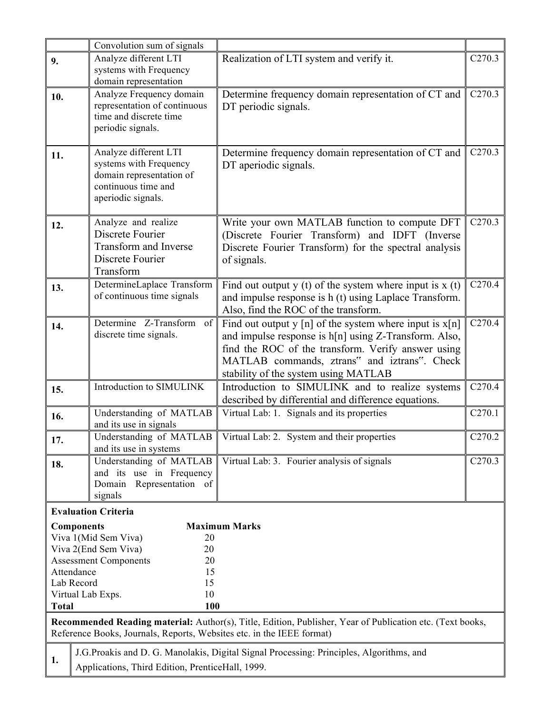|              | Convolution sum of signals                                                                                                                                                                                                                                                                                                                   |                                                                                                                                                                         |                    |  |  |  |  |  |
|--------------|----------------------------------------------------------------------------------------------------------------------------------------------------------------------------------------------------------------------------------------------------------------------------------------------------------------------------------------------|-------------------------------------------------------------------------------------------------------------------------------------------------------------------------|--------------------|--|--|--|--|--|
| 9.           | Analyze different LTI                                                                                                                                                                                                                                                                                                                        | Realization of LTI system and verify it.                                                                                                                                | C <sub>270.3</sub> |  |  |  |  |  |
|              | systems with Frequency<br>domain representation                                                                                                                                                                                                                                                                                              |                                                                                                                                                                         |                    |  |  |  |  |  |
| 10.          | Analyze Frequency domain<br>representation of continuous<br>time and discrete time<br>periodic signals.                                                                                                                                                                                                                                      | C <sub>270.3</sub><br>Determine frequency domain representation of CT and<br>DT periodic signals.                                                                       |                    |  |  |  |  |  |
| 11.          | Analyze different LTI<br>systems with Frequency<br>domain representation of<br>continuous time and<br>aperiodic signals.                                                                                                                                                                                                                     | Determine frequency domain representation of CT and<br>DT aperiodic signals.                                                                                            |                    |  |  |  |  |  |
| 12.          | Analyze and realize<br>Discrete Fourier<br><b>Transform and Inverse</b><br>Discrete Fourier<br>Transform                                                                                                                                                                                                                                     | Write your own MATLAB function to compute DFT<br>(Discrete Fourier Transform) and IDFT (Inverse<br>Discrete Fourier Transform) for the spectral analysis<br>of signals. | C <sub>270.3</sub> |  |  |  |  |  |
| 13.          | DetermineLaplace Transform<br>of continuous time signals                                                                                                                                                                                                                                                                                     | Find out output $y(t)$ of the system where input is $x(t)$<br>and impulse response is h (t) using Laplace Transform.<br>Also, find the ROC of the transform.            | C <sub>270.4</sub> |  |  |  |  |  |
| 14.          | C <sub>270.4</sub><br>Determine Z-Transform of<br>Find out output y [n] of the system where input is $x[n]$<br>discrete time signals.<br>and impulse response is h[n] using Z-Transform. Also,<br>find the ROC of the transform. Verify answer using<br>MATLAB commands, ztrans" and iztrans". Check<br>stability of the system using MATLAB |                                                                                                                                                                         |                    |  |  |  |  |  |
| 15.          | Introduction to SIMULINK                                                                                                                                                                                                                                                                                                                     | Introduction to SIMULINK and to realize systems<br>described by differential and difference equations.                                                                  | C <sub>270.4</sub> |  |  |  |  |  |
| 16.          | Understanding of MATLAB<br>and its use in signals                                                                                                                                                                                                                                                                                            | Virtual Lab: 1. Signals and its properties                                                                                                                              | C <sub>270.1</sub> |  |  |  |  |  |
| 17.          | Understanding of MATLAB<br>and its use in systems                                                                                                                                                                                                                                                                                            | Virtual Lab: 2. System and their properties                                                                                                                             | C <sub>270.2</sub> |  |  |  |  |  |
| 18.          | Understanding of MATLAB<br>and its use in Frequency<br>Representation of<br>Domain<br>signals                                                                                                                                                                                                                                                | Virtual Lab: 3. Fourier analysis of signals                                                                                                                             | C <sub>270.3</sub> |  |  |  |  |  |
|              | <b>Evaluation Criteria</b>                                                                                                                                                                                                                                                                                                                   |                                                                                                                                                                         |                    |  |  |  |  |  |
| <b>Total</b> | <b>Components</b><br>Viva 1(Mid Sem Viva)<br>20<br>Viva 2(End Sem Viva)<br>20<br><b>Assessment Components</b><br>20<br>Attendance<br>15<br>Lab Record<br>15<br>Virtual Lab Exps.<br>10<br>100                                                                                                                                                | <b>Maximum Marks</b>                                                                                                                                                    |                    |  |  |  |  |  |
|              | Reference Books, Journals, Reports, Websites etc. in the IEEE format)                                                                                                                                                                                                                                                                        | Recommended Reading material: Author(s), Title, Edition, Publisher, Year of Publication etc. (Text books,                                                               |                    |  |  |  |  |  |
| 1.           | Applications, Third Edition, PrenticeHall, 1999.                                                                                                                                                                                                                                                                                             | J.G. Proakis and D. G. Manolakis, Digital Signal Processing: Principles, Algorithms, and                                                                                |                    |  |  |  |  |  |